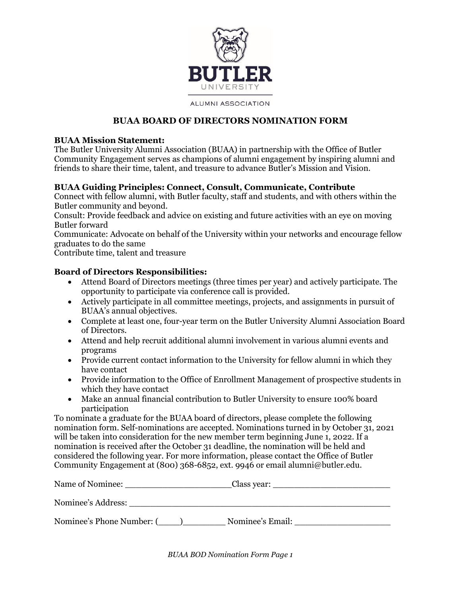

**ALUMNI ASSOCIATION** 

#### **BUAA BOARD OF DIRECTORS NOMINATION FORM**

#### **BUAA Mission Statement:**

The Butler University Alumni Association (BUAA) in partnership with the Office of Butler Community Engagement serves as champions of alumni engagement by inspiring alumni and friends to share their time, talent, and treasure to advance Butler's Mission and Vision.

#### **BUAA Guiding Principles: Connect, Consult, Communicate, Contribute**

Connect with fellow alumni, with Butler faculty, staff and students, and with others within the Butler community and beyond.

Consult: Provide feedback and advice on existing and future activities with an eye on moving Butler forward

Communicate: Advocate on behalf of the University within your networks and encourage fellow graduates to do the same

Contribute time, talent and treasure

#### **Board of Directors Responsibilities:**

- Attend Board of Directors meetings (three times per year) and actively participate. The opportunity to participate via conference call is provided.
- Actively participate in all committee meetings, projects, and assignments in pursuit of BUAA's annual objectives.
- Complete at least one, four-year term on the Butler University Alumni Association Board of Directors.
- Attend and help recruit additional alumni involvement in various alumni events and programs
- Provide current contact information to the University for fellow alumni in which they have contact
- Provide information to the Office of Enrollment Management of prospective students in which they have contact
- Make an annual financial contribution to Butler University to ensure 100% board participation

To nominate a graduate for the BUAA board of directors, please complete the following nomination form. Self-nominations are accepted. Nominations turned in by October 31, 2021 will be taken into consideration for the new member term beginning June 1, 2022. If a nomination is received after the October 31 deadline, the nomination will be held and considered the following year. For more information, please contact the Office of Butler Community Engagement at (800) 368-6852, ext. 9946 or email alumni@butler.edu.

| Name of Nominee:          | Class year:      |
|---------------------------|------------------|
| Nominee's Address:        |                  |
| Nominee's Phone Number: ( | Nominee's Email: |

*BUAA BOD Nomination Form Page 1*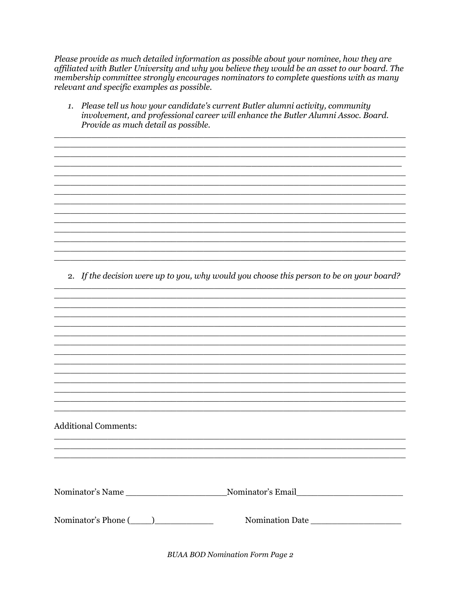Please provide as much detailed information as possible about your nominee, how they are affiliated with Butler University and why you believe they would be an asset to our board. The membership committee strongly encourages nominators to complete questions with as many relevant and specific examples as possible.

1. Please tell us how your candidate's current Butler alumni activity, community involvement, and professional career will enhance the Butler Alumni Assoc. Board. Provide as much detail as possible.

and the control of the control of the control of the control of the control of the control of the control of the

<u> 1989 - Johann Stoff, amerikansk politiker (d. 1989)</u>

<u> 1989 - Jan James James James James James James James James James James James James James James James James J</u>

<u> 1989 - Johann Stoff, deutscher Stoffen und der Stoffen und der Stoffen und der Stoffen und der Stoffen und der</u>

<u> 1989 - Johann Stoff, deutscher Stoffen und der Stoffen und der Stoffen und der Stoffen und der Stoffen und der</u>

2. If the decision were up to you, why would you choose this person to be on your board?

<u> 1989 - Johann Stoff, amerikansk politiker (d. 1989)</u>

**Additional Comments:** 

| Nominator's Name | Nominator's Email |  |
|------------------|-------------------|--|
|                  |                   |  |

**BUAA BOD Nomination Form Page 2**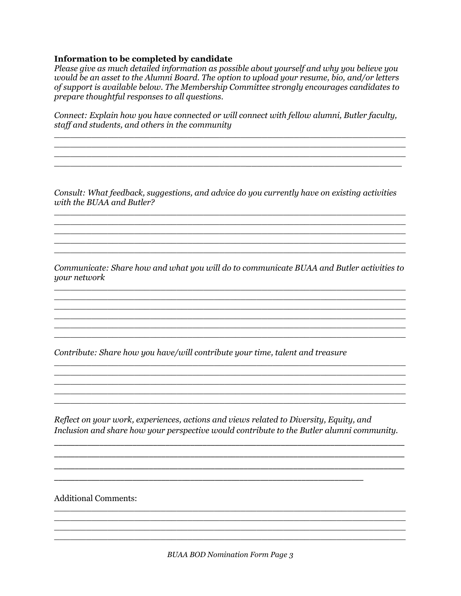#### **Information to be completed by candidate**

*Please give as much detailed information as possible about yourself and why you believe you would be an asset to the Alumni Board. The option to upload your resume, bio, and/or letters of support is available below. The Membership Committee strongly encourages candidates to prepare thoughtful responses to all questions.*

*Connect: Explain how you have connected or will connect with fellow alumni, Butler faculty, staff and students, and others in the community*

 $\overline{a_1}$  ,  $\overline{a_2}$  ,  $\overline{a_3}$  ,  $\overline{a_4}$  ,  $\overline{a_5}$  ,  $\overline{a_6}$  ,  $\overline{a_7}$  ,  $\overline{a_8}$  ,  $\overline{a_9}$  ,  $\overline{a_9}$  ,  $\overline{a_9}$  ,  $\overline{a_9}$  ,  $\overline{a_9}$  ,  $\overline{a_9}$  ,  $\overline{a_9}$  ,  $\overline{a_9}$  ,  $\overline{a_9}$  ,  $\mathcal{L}_\mathcal{L} = \mathcal{L}_\mathcal{L} = \mathcal{L}_\mathcal{L} = \mathcal{L}_\mathcal{L} = \mathcal{L}_\mathcal{L} = \mathcal{L}_\mathcal{L} = \mathcal{L}_\mathcal{L} = \mathcal{L}_\mathcal{L} = \mathcal{L}_\mathcal{L} = \mathcal{L}_\mathcal{L} = \mathcal{L}_\mathcal{L} = \mathcal{L}_\mathcal{L} = \mathcal{L}_\mathcal{L} = \mathcal{L}_\mathcal{L} = \mathcal{L}_\mathcal{L} = \mathcal{L}_\mathcal{L} = \mathcal{L}_\mathcal{L}$  $\mathcal{L}_\mathcal{L} = \{ \mathcal{L}_\mathcal{L} = \{ \mathcal{L}_\mathcal{L} = \{ \mathcal{L}_\mathcal{L} = \{ \mathcal{L}_\mathcal{L} = \{ \mathcal{L}_\mathcal{L} = \{ \mathcal{L}_\mathcal{L} = \{ \mathcal{L}_\mathcal{L} = \{ \mathcal{L}_\mathcal{L} = \{ \mathcal{L}_\mathcal{L} = \{ \mathcal{L}_\mathcal{L} = \{ \mathcal{L}_\mathcal{L} = \{ \mathcal{L}_\mathcal{L} = \{ \mathcal{L}_\mathcal{L} = \{ \mathcal{L}_\mathcal{$ 

\_\_\_\_\_\_\_\_\_\_\_\_\_\_\_\_\_\_\_\_\_\_\_\_\_\_\_\_\_\_\_\_\_\_\_\_\_\_\_\_\_\_\_\_\_\_\_\_\_\_\_\_\_\_\_\_\_\_\_\_\_\_\_\_

*Consult: What feedback, suggestions, and advice do you currently have on existing activities with the BUAA and Butler?* 

 $\_$  , and the set of the set of the set of the set of the set of the set of the set of the set of the set of the set of the set of the set of the set of the set of the set of the set of the set of the set of the set of th  $\mathcal{L}_\mathcal{L} = \{ \mathcal{L}_\mathcal{L} = \{ \mathcal{L}_\mathcal{L} = \{ \mathcal{L}_\mathcal{L} = \{ \mathcal{L}_\mathcal{L} = \{ \mathcal{L}_\mathcal{L} = \{ \mathcal{L}_\mathcal{L} = \{ \mathcal{L}_\mathcal{L} = \{ \mathcal{L}_\mathcal{L} = \{ \mathcal{L}_\mathcal{L} = \{ \mathcal{L}_\mathcal{L} = \{ \mathcal{L}_\mathcal{L} = \{ \mathcal{L}_\mathcal{L} = \{ \mathcal{L}_\mathcal{L} = \{ \mathcal{L}_\mathcal{$ 

 $\_$  , and the set of the set of the set of the set of the set of the set of the set of the set of the set of the set of the set of the set of the set of the set of the set of the set of the set of the set of the set of th

 $\overline{\phantom{a}}$  , and the contribution of the contribution of the contribution of the contribution of the contribution of the contribution of the contribution of the contribution of the contribution of the contribution of the

 $\mathcal{L}_\text{max}$  , and the set of the set of the set of the set of the set of the set of the set of the set of the set of the set of the set of the set of the set of the set of the set of the set of the set of the set of the

*Communicate: Share how and what you will do to communicate BUAA and Butler activities to your network*  $\overline{a_1}$  ,  $\overline{a_2}$  ,  $\overline{a_3}$  ,  $\overline{a_4}$  ,  $\overline{a_5}$  ,  $\overline{a_6}$  ,  $\overline{a_7}$  ,  $\overline{a_8}$  ,  $\overline{a_9}$  ,  $\overline{a_9}$  ,  $\overline{a_9}$  ,  $\overline{a_9}$  ,  $\overline{a_9}$  ,  $\overline{a_9}$  ,  $\overline{a_9}$  ,  $\overline{a_9}$  ,  $\overline{a_9}$  ,

 $\_$  , and the set of the set of the set of the set of the set of the set of the set of the set of the set of the set of the set of the set of the set of the set of the set of the set of the set of the set of the set of th  $\_$  , and the set of the set of the set of the set of the set of the set of the set of the set of the set of the set of the set of the set of the set of the set of the set of the set of the set of the set of the set of th

 $\_$  , and the set of the set of the set of the set of the set of the set of the set of the set of the set of the set of the set of the set of the set of the set of the set of the set of the set of the set of the set of th

 $\_$  , and the set of the set of the set of the set of the set of the set of the set of the set of the set of the set of the set of the set of the set of the set of the set of the set of the set of the set of the set of th  $\_$  , and the set of the set of the set of the set of the set of the set of the set of the set of the set of the set of the set of the set of the set of the set of the set of the set of the set of the set of the set of th

 $\overline{\phantom{a}}$  , and the set of the set of the set of the set of the set of the set of the set of the set of the set of the set of the set of the set of the set of the set of the set of the set of the set of the set of the s

*Contribute: Share how you have/will contribute your time, talent and treasure*

*Reflect on your work, experiences, actions and views related to Diversity, Equity, and Inclusion and share how your perspective would contribute to the Butler alumni community.* 

\_\_\_\_\_\_\_\_\_\_\_\_\_\_\_\_\_\_\_\_\_\_\_\_\_\_\_\_\_\_\_\_\_\_\_\_\_\_\_\_\_\_\_\_\_\_\_\_\_\_\_\_\_\_\_\_\_\_\_\_\_\_\_\_\_\_\_\_\_\_\_\_\_\_\_\_\_\_\_\_\_\_\_\_\_ \_\_\_\_\_\_\_\_\_\_\_\_\_\_\_\_\_\_\_\_\_\_\_\_\_\_\_\_\_\_\_\_\_\_\_\_\_\_\_\_\_\_\_\_\_\_\_\_\_\_\_\_\_\_\_\_\_\_\_\_\_\_\_\_\_\_\_\_\_\_\_\_\_\_\_\_\_\_\_\_\_\_\_\_\_ \_\_\_\_\_\_\_\_\_\_\_\_\_\_\_\_\_\_\_\_\_\_\_\_\_\_\_\_\_\_\_\_\_\_\_\_\_\_\_\_\_\_\_\_\_\_\_\_\_\_\_\_\_\_\_\_\_\_\_\_\_\_\_\_\_\_\_\_\_\_\_\_\_\_\_\_\_\_\_\_\_\_\_\_\_

\_\_\_\_\_\_\_\_\_\_\_\_\_\_\_\_\_\_\_\_\_\_\_\_\_\_\_\_\_\_\_\_\_\_\_\_\_\_\_\_\_\_\_\_\_\_\_\_\_\_\_\_\_\_\_\_\_\_\_\_\_\_\_\_\_\_\_\_\_\_\_\_\_\_\_

Additional Comments:

 $\_$  , and the set of the set of the set of the set of the set of the set of the set of the set of the set of the set of the set of the set of the set of the set of the set of the set of the set of the set of the set of th  $\_$  , and the set of the set of the set of the set of the set of the set of the set of the set of the set of the set of the set of the set of the set of the set of the set of the set of the set of the set of the set of th  $\_$  , and the set of the set of the set of the set of the set of the set of the set of the set of the set of the set of the set of the set of the set of the set of the set of the set of the set of the set of the set of th  $\overline{a_1}$  ,  $\overline{a_2}$  ,  $\overline{a_3}$  ,  $\overline{a_4}$  ,  $\overline{a_5}$  ,  $\overline{a_6}$  ,  $\overline{a_7}$  ,  $\overline{a_8}$  ,  $\overline{a_9}$  ,  $\overline{a_9}$  ,  $\overline{a_9}$  ,  $\overline{a_9}$  ,  $\overline{a_9}$  ,  $\overline{a_9}$  ,  $\overline{a_9}$  ,  $\overline{a_9}$  ,  $\overline{a_9}$  ,